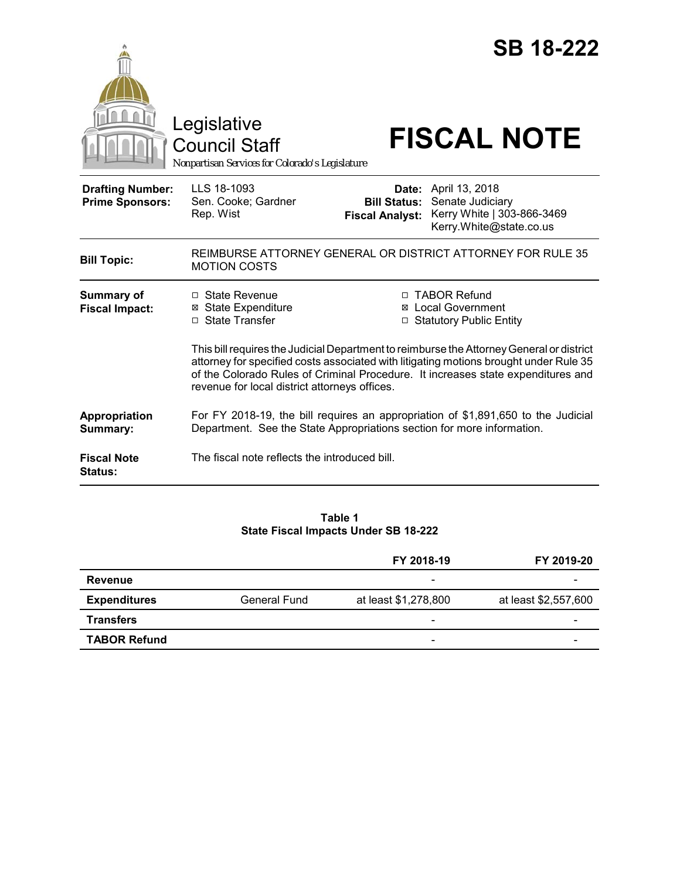|                                                   | Legislative<br><b>Council Staff</b><br>Nonpartisan Services for Colorado's Legislature                                                                                                                                     |                                                                                                                                                                      | <b>SB 18-222</b><br><b>FISCAL NOTE</b>                                                                   |  |
|---------------------------------------------------|----------------------------------------------------------------------------------------------------------------------------------------------------------------------------------------------------------------------------|----------------------------------------------------------------------------------------------------------------------------------------------------------------------|----------------------------------------------------------------------------------------------------------|--|
| <b>Drafting Number:</b><br><b>Prime Sponsors:</b> | LLS 18-1093<br>Sen. Cooke; Gardner<br>Rep. Wist                                                                                                                                                                            | <b>Bill Status:</b><br><b>Fiscal Analyst:</b>                                                                                                                        | <b>Date:</b> April 13, 2018<br>Senate Judiciary<br>Kerry White   303-866-3469<br>Kerry.White@state.co.us |  |
| <b>Bill Topic:</b>                                | <b>MOTION COSTS</b>                                                                                                                                                                                                        |                                                                                                                                                                      | REIMBURSE ATTORNEY GENERAL OR DISTRICT ATTORNEY FOR RULE 35                                              |  |
| Summary of<br><b>Fiscal Impact:</b>               | □ State Revenue<br><b>⊠</b> State Expenditure<br>□ State Transfer                                                                                                                                                          | □ TABOR Refund<br><b>⊠</b> Local Government<br>□ Statutory Public Entity<br>This bill requires the Judicial Department to reimburse the Attorney General or district |                                                                                                          |  |
|                                                   | attorney for specified costs associated with litigating motions brought under Rule 35<br>of the Colorado Rules of Criminal Procedure. It increases state expenditures and<br>revenue for local district attorneys offices. |                                                                                                                                                                      |                                                                                                          |  |
| Appropriation<br>Summary:                         | For FY 2018-19, the bill requires an appropriation of \$1,891,650 to the Judicial<br>Department. See the State Appropriations section for more information.                                                                |                                                                                                                                                                      |                                                                                                          |  |
| <b>Fiscal Note</b><br><b>Status:</b>              | The fiscal note reflects the introduced bill.                                                                                                                                                                              |                                                                                                                                                                      |                                                                                                          |  |

## **Table 1 State Fiscal Impacts Under SB 18-222**

|                     |              | FY 2018-19               | FY 2019-20           |
|---------------------|--------------|--------------------------|----------------------|
| Revenue             |              | $\overline{\phantom{a}}$ |                      |
| <b>Expenditures</b> | General Fund | at least \$1,278,800     | at least \$2,557,600 |
| <b>Transfers</b>    |              | $\overline{\phantom{a}}$ | -                    |
| <b>TABOR Refund</b> |              | -                        |                      |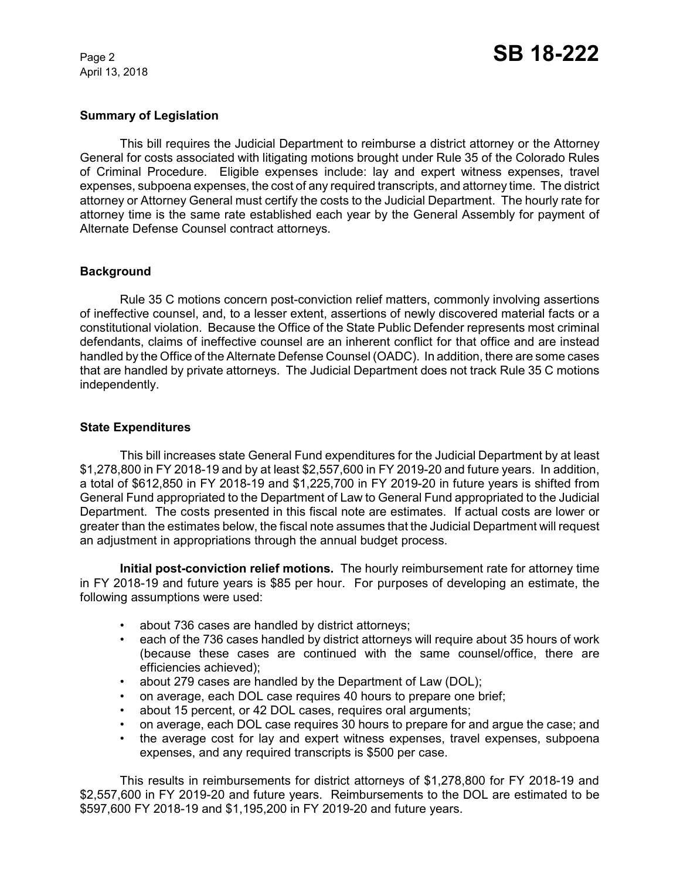April 13, 2018

# **Summary of Legislation**

This bill requires the Judicial Department to reimburse a district attorney or the Attorney General for costs associated with litigating motions brought under Rule 35 of the Colorado Rules of Criminal Procedure. Eligible expenses include: lay and expert witness expenses, travel expenses, subpoena expenses, the cost of any required transcripts, and attorney time. The district attorney or Attorney General must certify the costs to the Judicial Department. The hourly rate for attorney time is the same rate established each year by the General Assembly for payment of Alternate Defense Counsel contract attorneys.

## **Background**

Rule 35 C motions concern post-conviction relief matters, commonly involving assertions of ineffective counsel, and, to a lesser extent, assertions of newly discovered material facts or a constitutional violation. Because the Office of the State Public Defender represents most criminal defendants, claims of ineffective counsel are an inherent conflict for that office and are instead handled by the Office of the Alternate Defense Counsel (OADC). In addition, there are some cases that are handled by private attorneys. The Judicial Department does not track Rule 35 C motions independently.

## **State Expenditures**

This bill increases state General Fund expenditures for the Judicial Department by at least \$1,278,800 in FY 2018-19 and by at least \$2,557,600 in FY 2019-20 and future years. In addition, a total of \$612,850 in FY 2018-19 and \$1,225,700 in FY 2019-20 in future years is shifted from General Fund appropriated to the Department of Law to General Fund appropriated to the Judicial Department. The costs presented in this fiscal note are estimates. If actual costs are lower or greater than the estimates below, the fiscal note assumes that the Judicial Department will request an adjustment in appropriations through the annual budget process.

**Initial post-conviction relief motions.** The hourly reimbursement rate for attorney time in FY 2018-19 and future years is \$85 per hour. For purposes of developing an estimate, the following assumptions were used:

- about 736 cases are handled by district attorneys;
- each of the 736 cases handled by district attorneys will require about 35 hours of work (because these cases are continued with the same counsel/office, there are efficiencies achieved);
- about 279 cases are handled by the Department of Law (DOL);
- on average, each DOL case requires 40 hours to prepare one brief;
- about 15 percent, or 42 DOL cases, requires oral arguments;
- on average, each DOL case requires 30 hours to prepare for and argue the case; and
- the average cost for lay and expert witness expenses, travel expenses, subpoena expenses, and any required transcripts is \$500 per case.

This results in reimbursements for district attorneys of \$1,278,800 for FY 2018-19 and \$2,557,600 in FY 2019-20 and future years. Reimbursements to the DOL are estimated to be \$597,600 FY 2018-19 and \$1,195,200 in FY 2019-20 and future years.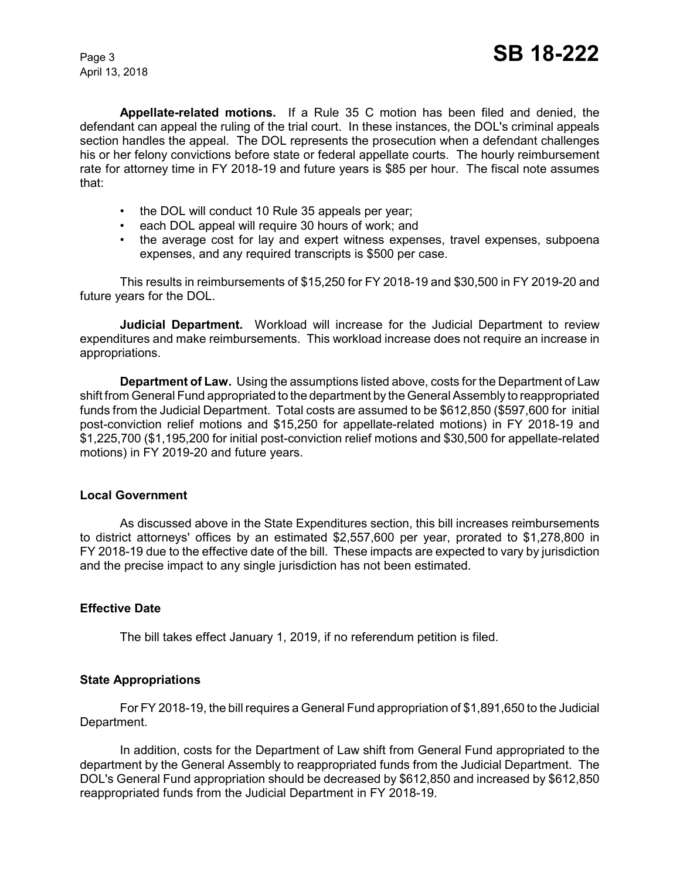April 13, 2018

**Appellate-related motions.** If a Rule 35 C motion has been filed and denied, the defendant can appeal the ruling of the trial court. In these instances, the DOL's criminal appeals section handles the appeal. The DOL represents the prosecution when a defendant challenges his or her felony convictions before state or federal appellate courts. The hourly reimbursement rate for attorney time in FY 2018-19 and future years is \$85 per hour. The fiscal note assumes that:

- the DOL will conduct 10 Rule 35 appeals per year;
- each DOL appeal will require 30 hours of work; and
- the average cost for lay and expert witness expenses, travel expenses, subpoena expenses, and any required transcripts is \$500 per case.

This results in reimbursements of \$15,250 for FY 2018-19 and \$30,500 in FY 2019-20 and future years for the DOL.

**Judicial Department.** Workload will increase for the Judicial Department to review expenditures and make reimbursements. This workload increase does not require an increase in appropriations.

**Department of Law.** Using the assumptions listed above, costs for the Department of Law shift from General Fund appropriated to the department by the General Assembly to reappropriated funds from the Judicial Department. Total costs are assumed to be \$612,850 (\$597,600 for initial post-conviction relief motions and \$15,250 for appellate-related motions) in FY 2018-19 and \$1,225,700 (\$1,195,200 for initial post-conviction relief motions and \$30,500 for appellate-related motions) in FY 2019-20 and future years.

## **Local Government**

As discussed above in the State Expenditures section, this bill increases reimbursements to district attorneys' offices by an estimated \$2,557,600 per year, prorated to \$1,278,800 in FY 2018-19 due to the effective date of the bill. These impacts are expected to vary by jurisdiction and the precise impact to any single jurisdiction has not been estimated.

## **Effective Date**

The bill takes effect January 1, 2019, if no referendum petition is filed.

## **State Appropriations**

For FY 2018-19, the bill requires a General Fund appropriation of \$1,891,650 to the Judicial Department.

In addition, costs for the Department of Law shift from General Fund appropriated to the department by the General Assembly to reappropriated funds from the Judicial Department. The DOL's General Fund appropriation should be decreased by \$612,850 and increased by \$612,850 reappropriated funds from the Judicial Department in FY 2018-19.